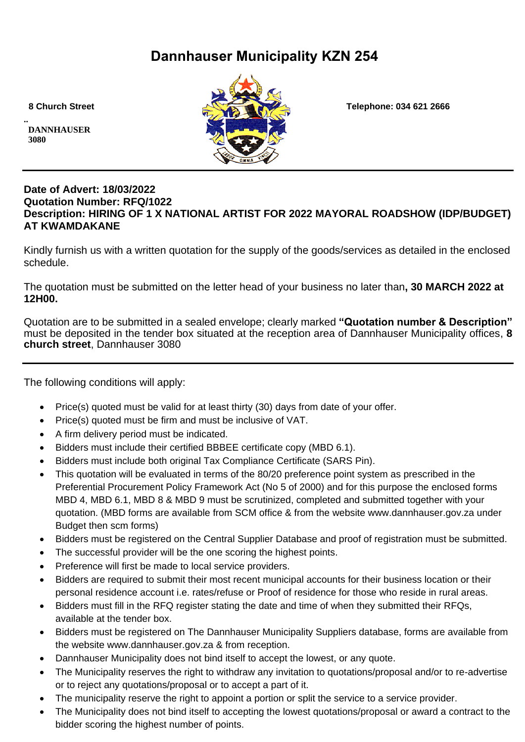# **Dannhauser Municipality KZN 254**

**.. DANNHAUSER 3080** 



 **8 Church Street Telephone: 034 621 2666**

#### **Date of Advert: 18/03/2022 Quotation Number: RFQ/1022 Description: HIRING OF 1 X NATIONAL ARTIST FOR 2022 MAYORAL ROADSHOW (IDP/BUDGET) AT KWAMDAKANE**

Kindly furnish us with a written quotation for the supply of the goods/services as detailed in the enclosed schedule.

The quotation must be submitted on the letter head of your business no later than**, 30 MARCH 2022 at 12H00.**

Quotation are to be submitted in a sealed envelope; clearly marked **"Quotation number & Description"** must be deposited in the tender box situated at the reception area of Dannhauser Municipality offices, **8 church street**, Dannhauser 3080

The following conditions will apply:

- Price(s) quoted must be valid for at least thirty (30) days from date of your offer.
- Price(s) quoted must be firm and must be inclusive of VAT.
- A firm delivery period must be indicated.
- Bidders must include their certified BBBEE certificate copy (MBD 6.1).
- Bidders must include both original Tax Compliance Certificate (SARS Pin).
- This quotation will be evaluated in terms of the 80/20 preference point system as prescribed in the Preferential Procurement Policy Framework Act (No 5 of 2000) and for this purpose the enclosed forms MBD 4, MBD 6.1, MBD 8 & MBD 9 must be scrutinized, completed and submitted together with your quotation. (MBD forms are available from SCM office & from the website www.dannhauser.gov.za under Budget then scm forms)
- Bidders must be registered on the Central Supplier Database and proof of registration must be submitted.
- The successful provider will be the one scoring the highest points.
- Preference will first be made to local service providers.
- Bidders are required to submit their most recent municipal accounts for their business location or their personal residence account i.e. rates/refuse or Proof of residence for those who reside in rural areas.
- Bidders must fill in the RFQ register stating the date and time of when they submitted their RFQs, available at the tender box.
- Bidders must be registered on The Dannhauser Municipality Suppliers database, forms are available from the website www.dannhauser.gov.za & from reception.
- Dannhauser Municipality does not bind itself to accept the lowest, or any quote.
- The Municipality reserves the right to withdraw any invitation to quotations/proposal and/or to re-advertise or to reject any quotations/proposal or to accept a part of it.
- The municipality reserve the right to appoint a portion or split the service to a service provider.
- The Municipality does not bind itself to accepting the lowest quotations/proposal or award a contract to the bidder scoring the highest number of points.